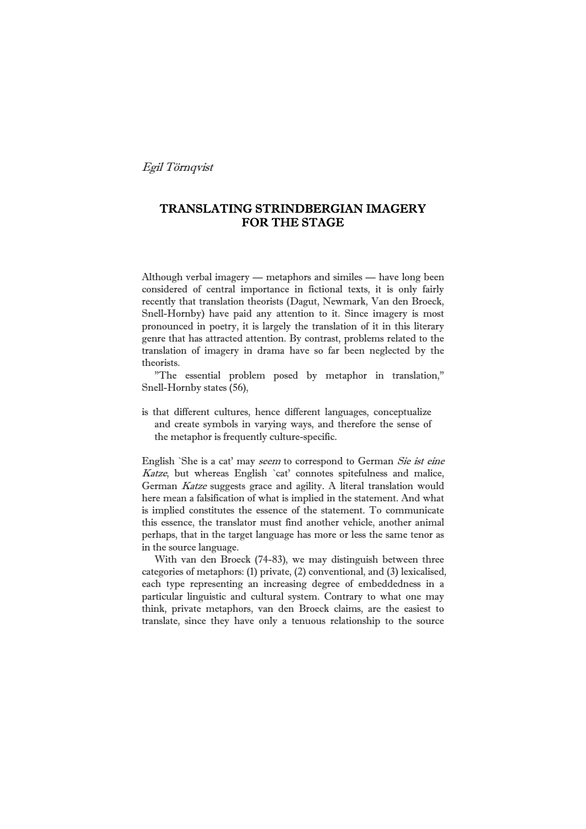Egil Törnqvist

# TRANSLATING STRINDBERGIAN IMAGERY FOR THE STAGE

Although verbal imagery — metaphors and similes — have long been considered of central importance in fictional texts, it is only fairly recently that translation theorists (Dagut, Newmark, Van den Broeck, Snell-Hornby) have paid any attention to it. Since imagery is most pronounced in poetry, it is largely the translation of it in this literary genre that has attracted attention. By contrast, problems related to the translation of imagery in drama have so far been neglected by the theorists.

 "The essential problem posed by metaphor in translation," Snell-Hornby states (56),

is that different cultures, hence different languages, conceptualize and create symbols in varying ways, and therefore the sense of the metaphor is frequently culture-specific.

English `She is a cat' may seem to correspond to German Sie ist eine Katze, but whereas English `cat' connotes spitefulness and malice, German Katze suggests grace and agility. A literal translation would here mean a falsification of what is implied in the statement. And what is implied constitutes the essence of the statement. To communicate this essence, the translator must find another vehicle, another animal perhaps, that in the target language has more or less the same tenor as in the source language.

 With van den Broeck (74-83), we may distinguish between three categories of metaphors: (1) private, (2) conventional, and (3) lexicalised, each type representing an increasing degree of embeddedness in a particular linguistic and cultural system. Contrary to what one may think, private metaphors, van den Broeck claims, are the easiest to translate, since they have only a tenuous relationship to the source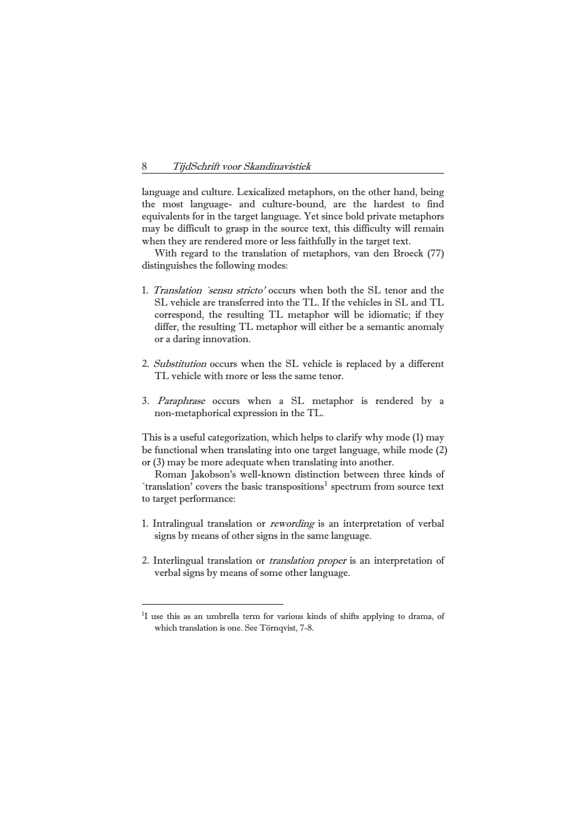language and culture. Lexicalized metaphors, on the other hand, being the most language- and culture-bound, are the hardest to find equivalents for in the target language. Yet since bold private metaphors may be difficult to grasp in the source text, this difficulty will remain when they are rendered more or less faithfully in the target text.

 With regard to the translation of metaphors, van den Broeck (77) distinguishes the following modes:

- 1. *Translation `sensu stricto'* occurs when both the SL tenor and the SL vehicle are transferred into the TL. If the vehicles in SL and TL correspond, the resulting TL metaphor will be idiomatic; if they differ, the resulting TL metaphor will either be a semantic anomaly or a daring innovation.
- 2. Substitution occurs when the SL vehicle is replaced by a different TL vehicle with more or less the same tenor.
- 3. Paraphrase occurs when a SL metaphor is rendered by a non-metaphorical expression in the TL.

This is a useful categorization, which helps to clarify why mode (1) may be functional when translating into one target language, while mode (2) or (3) may be more adequate when translating into another.

 Roman Jakobson's well-known distinction between three kinds of `translation' covers the basic transpositions<sup>[1](#page-1-0)</sup> spectrum from source text to target performance:

- 1. Intralingual translation or rewording is an interpretation of verbal signs by means of other signs in the same language.
- 2. Interlingual translation or *translation proper* is an interpretation of verbal signs by means of some other language.

<span id="page-1-0"></span><sup>&</sup>lt;sup>1</sup>I use this as an umbrella term for various kinds of shifts applying to drama, of which translation is one. See Törnqvist, 7-8.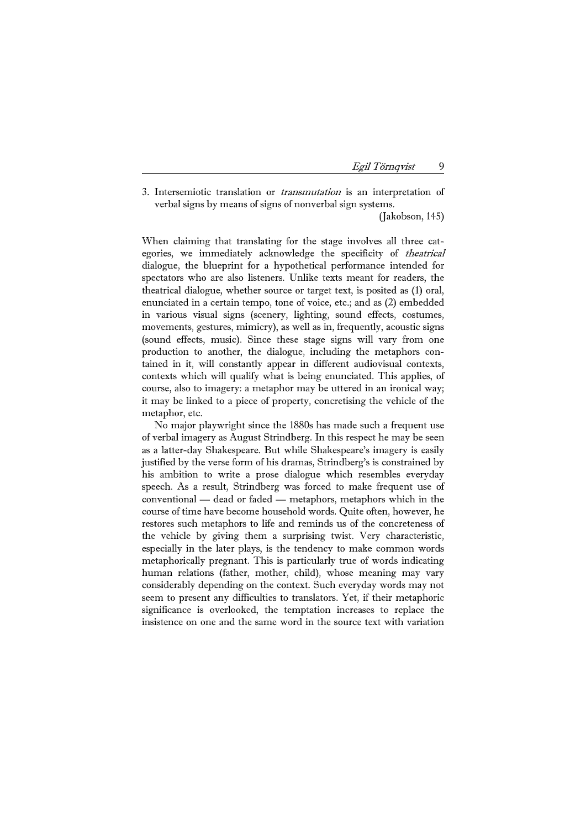| Egil Törngvist |  |
|----------------|--|
|                |  |

3. Intersemiotic translation or transmutation is an interpretation of verbal signs by means of signs of nonverbal sign systems.

(Jakobson, 145)

When claiming that translating for the stage involves all three categories, we immediately acknowledge the specificity of theatrical dialogue, the blueprint for a hypothetical performance intended for spectators who are also listeners. Unlike texts meant for readers, the theatrical dialogue, whether source or target text, is posited as (1) oral, enunciated in a certain tempo, tone of voice, etc.; and as (2) embedded in various visual signs (scenery, lighting, sound effects, costumes, movements, gestures, mimicry), as well as in, frequently, acoustic signs (sound effects, music). Since these stage signs will vary from one production to another, the dialogue, including the metaphors contained in it, will constantly appear in different audiovisual contexts, contexts which will qualify what is being enunciated. This applies, of course, also to imagery: a metaphor may be uttered in an ironical way; it may be linked to a piece of property, concretising the vehicle of the metaphor, etc.

 No major playwright since the 1880s has made such a frequent use of verbal imagery as August Strindberg. In this respect he may be seen as a latter-day Shakespeare. But while Shakespeare's imagery is easily justified by the verse form of his dramas, Strindberg's is constrained by his ambition to write a prose dialogue which resembles everyday speech. As a result, Strindberg was forced to make frequent use of conventional — dead or faded — metaphors, metaphors which in the course of time have become household words. Quite often, however, he restores such metaphors to life and reminds us of the concreteness of the vehicle by giving them a surprising twist. Very characteristic, especially in the later plays, is the tendency to make common words metaphorically pregnant. This is particularly true of words indicating human relations (father, mother, child), whose meaning may vary considerably depending on the context. Such everyday words may not seem to present any difficulties to translators. Yet, if their metaphoric significance is overlooked, the temptation increases to replace the insistence on one and the same word in the source text with variation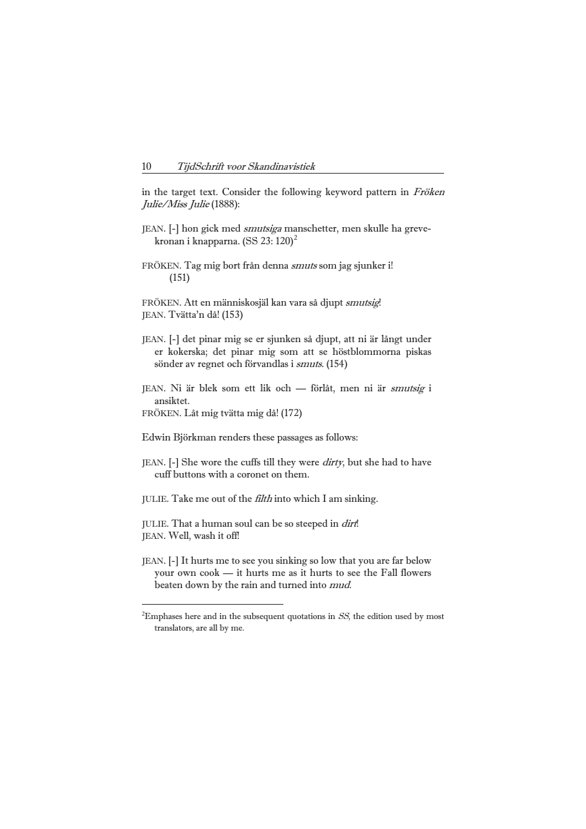in the target text. Consider the following keyword pattern in Fröken Julie/Miss Julie (1888):

- JEAN. [-] hon gick med smutsiga manschetter, men skulle ha greve-kronan i knapparna. (SS [2](#page-3-0)3: 120)<sup>2</sup>
- FRÖKEN. Tag mig bort från denna smuts som jag sjunker i! (151)

FRÖKEN. Att en människosjäl kan vara så djupt smutsig! JEAN. Tvätta'n då! (153)

- JEAN. [-] det pinar mig se er sjunken så djupt, att ni är långt under er kokerska; det pinar mig som att se höstblommorna piskas sönder av regnet och förvandlas i smuts. (154)
- JEAN. Ni är blek som ett lik och förlåt, men ni är smutsig i ansiktet.
- FRÖKEN. Låt mig tvätta mig då! (172)

- Edwin Björkman renders these passages as follows:
- JEAN. [-] She wore the cuffs till they were *dirty*, but she had to have cuff buttons with a coronet on them.
- JULIE. Take me out of the filth into which I am sinking.
- JULIE. That a human soul can be so steeped in dirt! JEAN. Well, wash it off!
- JEAN. [-] It hurts me to see you sinking so low that you are far below your own cook — it hurts me as it hurts to see the Fall flowers beaten down by the rain and turned into mud.

<span id="page-3-0"></span><sup>&</sup>lt;sup>2</sup>Emphases here and in the subsequent quotations in  $SS$ , the edition used by most translators, are all by me.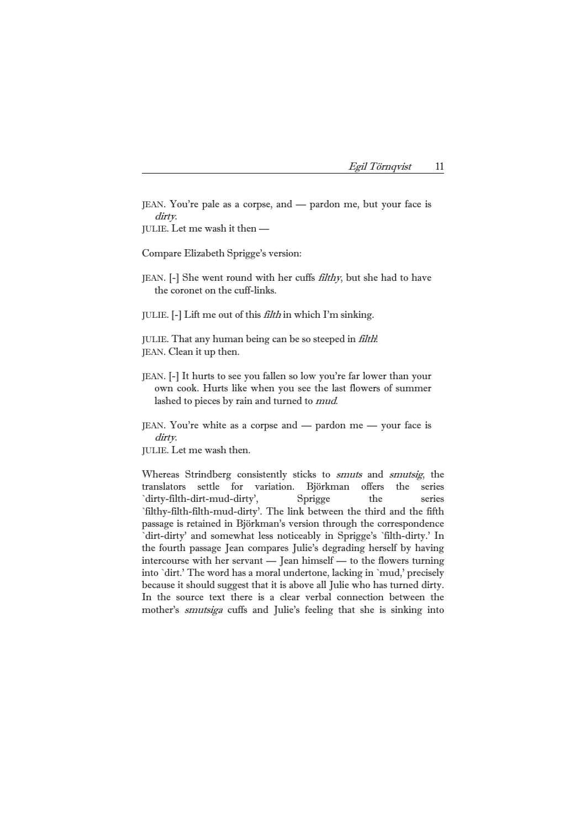| Egil Törngvist |  |
|----------------|--|
|                |  |

JEAN. You're pale as a corpse, and — pardon me, but your face is dirty.

JULIE. Let me wash it then —

Compare Elizabeth Sprigge's version:

JEAN. [-] She went round with her cuffs filthy, but she had to have the coronet on the cuff-links.

JULIE. [-] Lift me out of this filth in which I'm sinking.

JULIE. That any human being can be so steeped in filth! JEAN. Clean it up then.

- JEAN. [-] It hurts to see you fallen so low you're far lower than your own cook. Hurts like when you see the last flowers of summer lashed to pieces by rain and turned to mud.
- JEAN. You're white as a corpse and pardon me your face is dirty.

JULIE. Let me wash then.

Whereas Strindberg consistently sticks to *smuts* and *smutsig*, the translators settle for variation. Björkman offers the series `dirty-filth-dirt-mud-dirty', Sprigge the series `filthy-filth-filth-mud-dirty'. The link between the third and the fifth passage is retained in Björkman's version through the correspondence `dirt-dirty' and somewhat less noticeably in Sprigge's `filth-dirty.' In the fourth passage Jean compares Julie's degrading herself by having intercourse with her servant — Jean himself — to the flowers turning into `dirt.' The word has a moral undertone, lacking in `mud,' precisely because it should suggest that it is above all Julie who has turned dirty. In the source text there is a clear verbal connection between the mother's smutsiga cuffs and Julie's feeling that she is sinking into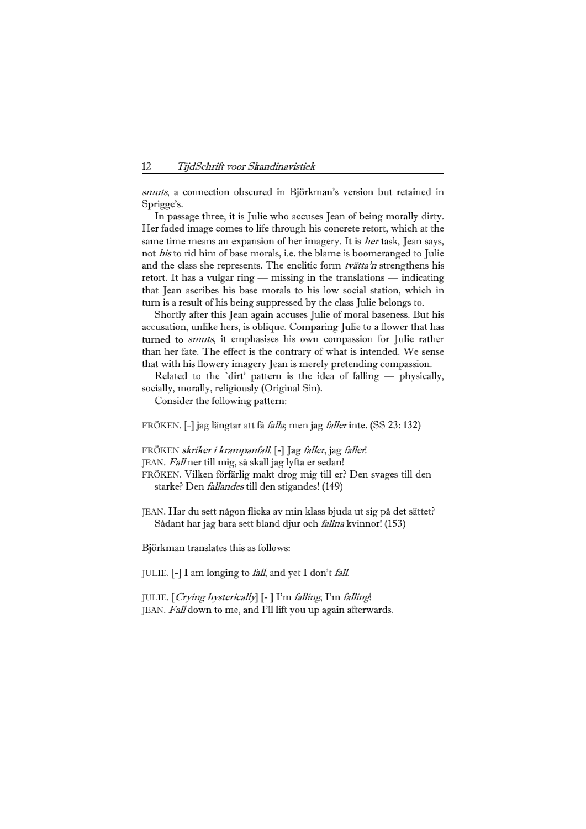smuts, a connection obscured in Björkman's version but retained in Sprigge's.

 In passage three, it is Julie who accuses Jean of being morally dirty. Her faded image comes to life through his concrete retort, which at the same time means an expansion of her imagery. It is her task, Jean says, not his to rid him of base morals, i.e. the blame is boomeranged to Julie and the class she represents. The enclitic form tvätta'n strengthens his retort. It has a vulgar ring — missing in the translations — indicating that Jean ascribes his base morals to his low social station, which in turn is a result of his being suppressed by the class Julie belongs to.

 Shortly after this Jean again accuses Julie of moral baseness. But his accusation, unlike hers, is oblique. Comparing Julie to a flower that has turned to smuts, it emphasises his own compassion for Julie rather than her fate. The effect is the contrary of what is intended. We sense that with his flowery imagery Jean is merely pretending compassion.

 Related to the `dirt' pattern is the idea of falling — physically, socially, morally, religiously (Original Sin).

Consider the following pattern:

FRÖKEN. [-] jag längtar att få falla; men jag faller inte. (SS 23: 132)

FRÖKEN *skriker i krampanfall*. [-] Jag *faller*, jag *faller*!

JEAN. Fall ner till mig, så skall jag lyfta er sedan!

FRÖKEN. Vilken förfärlig makt drog mig till er? Den svages till den starke? Den fallandes till den stigandes! (149)

JEAN. Har du sett någon flicka av min klass bjuda ut sig på det sättet? Sådant har jag bara sett bland djur och fallna kvinnor! (153)

Björkman translates this as follows:

JULIE. [-] I am longing to fall, and yet I don't fall.

JULIE. [Crying hysterically] [- ] I'm falling, I'm falling! JEAN. Fall down to me, and I'll lift you up again afterwards.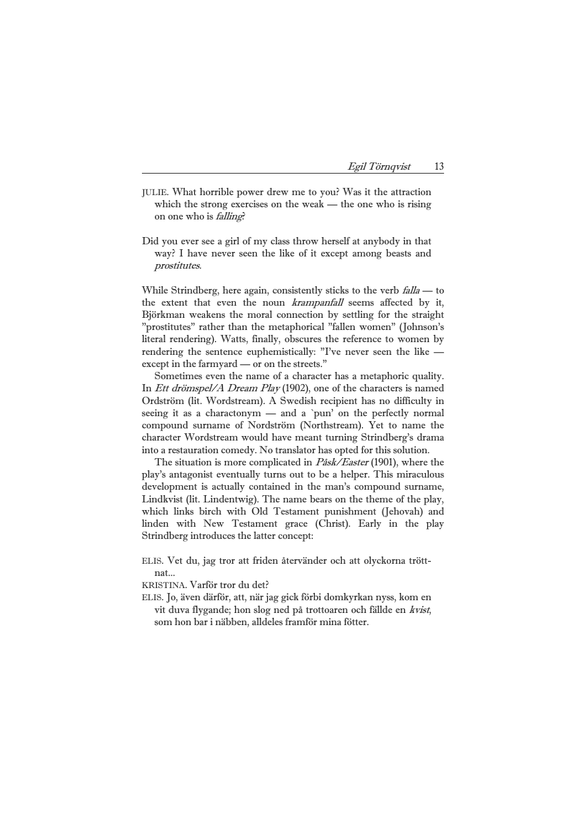| Egil Törnqvist |  |
|----------------|--|
|                |  |

- JULIE. What horrible power drew me to you? Was it the attraction which the strong exercises on the weak — the one who is rising on one who is falling?
- Did you ever see a girl of my class throw herself at anybody in that way? I have never seen the like of it except among beasts and prostitutes.

While Strindberg, here again, consistently sticks to the verb *falla* — to the extent that even the noun krampanfall seems affected by it, Björkman weakens the moral connection by settling for the straight "prostitutes" rather than the metaphorical "fallen women" (Johnson's literal rendering). Watts, finally, obscures the reference to women by rendering the sentence euphemistically: "I've never seen the like except in the farmyard — or on the streets."

 Sometimes even the name of a character has a metaphoric quality. In *Ett drömspel/A Dream Play* (1902), one of the characters is named Ordström (lit. Wordstream). A Swedish recipient has no difficulty in seeing it as a charactonym — and a `pun' on the perfectly normal compound surname of Nordström (Northstream). Yet to name the character Wordstream would have meant turning Strindberg's drama into a restauration comedy. No translator has opted for this solution.

The situation is more complicated in *Påsk/Easter* (1901), where the play's antagonist eventually turns out to be a helper. This miraculous development is actually contained in the man's compound surname, Lindkvist (lit. Lindentwig). The name bears on the theme of the play, which links birch with Old Testament punishment (Jehovah) and linden with New Testament grace (Christ). Early in the play Strindberg introduces the latter concept:

ELIS. Vet du, jag tror att friden återvänder och att olyckorna tröttnat...

KRISTINA. Varför tror du det?

ELIS. Jo, även därför, att, när jag gick förbi domkyrkan nyss, kom en vit duva flygande; hon slog ned på trottoaren och fällde en kvist, som hon bar i näbben, alldeles framför mina fötter.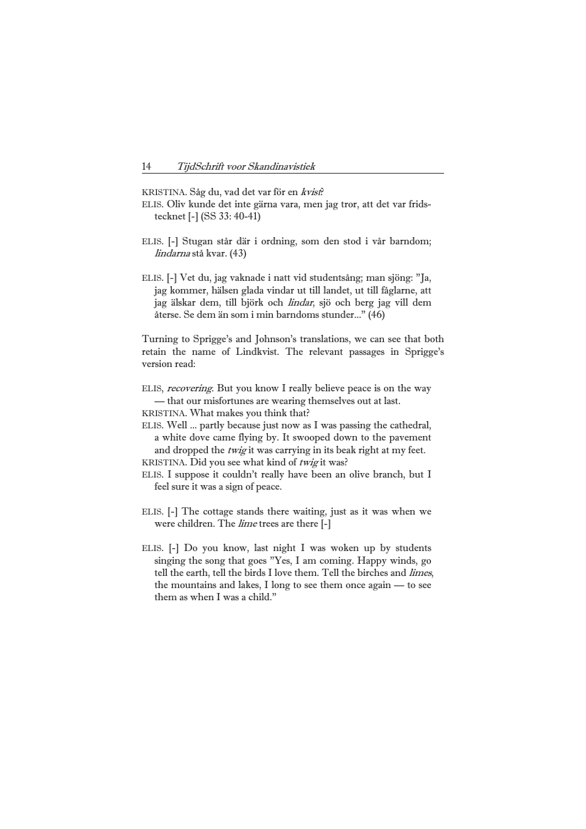KRISTINA. Såg du, vad det var för en kvist?

- ELIS. Oliv kunde det inte gärna vara, men jag tror, att det var fridstecknet [-] (SS 33: 40-41)
- ELIS. [-] Stugan står där i ordning, som den stod i vår barndom; lindarna stå kvar. (43)
- ELIS. [-] Vet du, jag vaknade i natt vid studentsång; man sjöng: "Ja, jag kommer, hälsen glada vindar ut till landet, ut till fåglarne, att jag älskar dem, till björk och lindar, sjö och berg jag vill dem återse. Se dem än som i min barndoms stunder..." (46)

Turning to Sprigge's and Johnson's translations, we can see that both retain the name of Lindkvist. The relevant passages in Sprigge's version read:

- ELIS, recovering. But you know I really believe peace is on the way — that our misfortunes are wearing themselves out at last.
- KRISTINA. What makes you think that?
- ELIS. Well ... partly because just now as I was passing the cathedral, a white dove came flying by. It swooped down to the pavement and dropped the *twig* it was carrying in its beak right at my feet.
- KRISTINA. Did you see what kind of twig it was?
- ELIS. I suppose it couldn't really have been an olive branch, but I feel sure it was a sign of peace.
- ELIS. [-] The cottage stands there waiting, just as it was when we were children. The *lime* trees are there [-]
- ELIS. [-] Do you know, last night I was woken up by students singing the song that goes "Yes, I am coming. Happy winds, go tell the earth, tell the birds I love them. Tell the birches and limes, the mountains and lakes, I long to see them once again — to see them as when I was a child."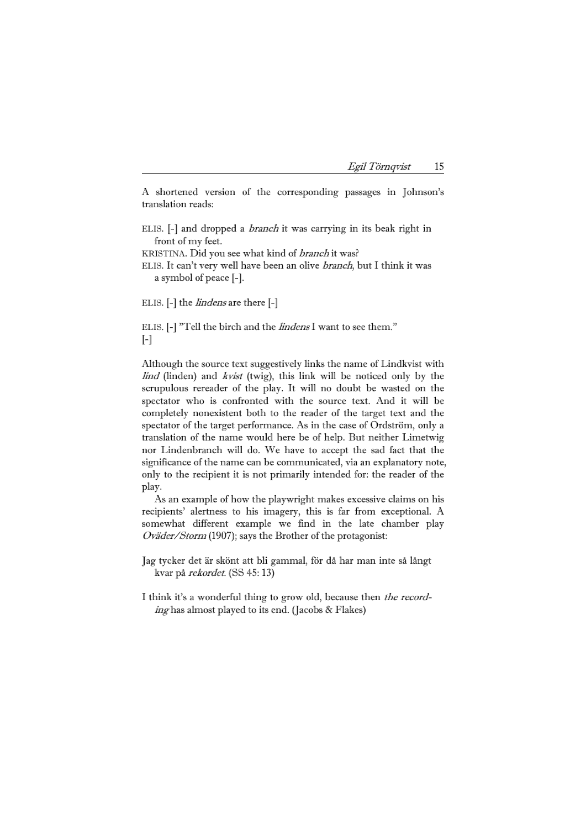| Egil Törnqvist |  |
|----------------|--|
|                |  |

A shortened version of the corresponding passages in Johnson's translation reads:

- ELIS. [-] and dropped a branch it was carrying in its beak right in front of my feet.
- KRISTINA. Did you see what kind of branch it was?
- ELIS. It can't very well have been an olive branch, but I think it was a symbol of peace [-].

ELIS. [-] the *lindens* are there [-]

ELIS. [-] "Tell the birch and the lindens I want to see them."  $[-]$ 

Although the source text suggestively links the name of Lindkvist with lind (linden) and kvist (twig), this link will be noticed only by the scrupulous rereader of the play. It will no doubt be wasted on the spectator who is confronted with the source text. And it will be completely nonexistent both to the reader of the target text and the spectator of the target performance. As in the case of Ordström, only a translation of the name would here be of help. But neither Limetwig nor Lindenbranch will do. We have to accept the sad fact that the significance of the name can be communicated, via an explanatory note, only to the recipient it is not primarily intended for: the reader of the play.

 As an example of how the playwright makes excessive claims on his recipients' alertness to his imagery, this is far from exceptional. A somewhat different example we find in the late chamber play Oväder/Storm (1907); says the Brother of the protagonist:

- Jag tycker det är skönt att bli gammal, för då har man inte så långt kvar på rekordet. (SS 45: 13)
- I think it's a wonderful thing to grow old, because then the recording has almost played to its end. (Jacobs & Flakes)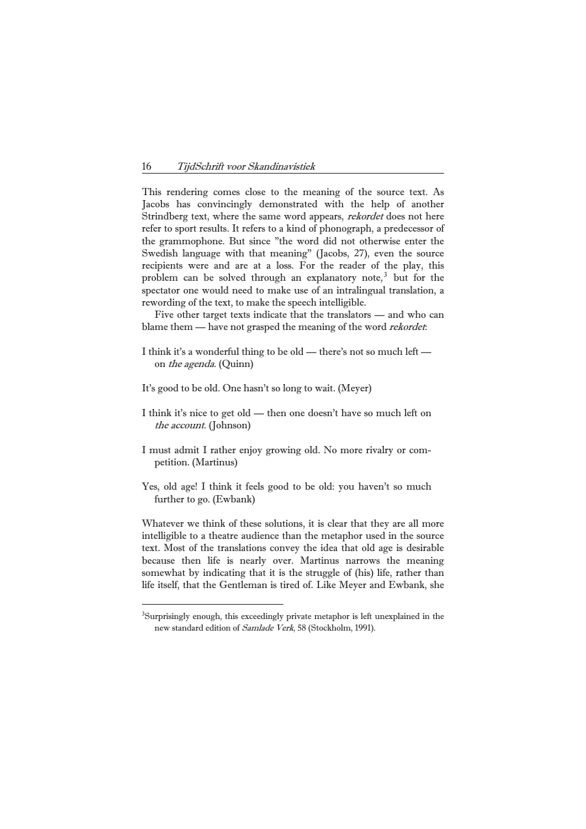This rendering comes close to the meaning of the source text. As Jacobs has convincingly demonstrated with the help of another Strindberg text, where the same word appears, *rekordet* does not here refer to sport results. It refers to a kind of phonograph, a predecessor of the grammophone. But since "the word did not otherwise enter the Swedish language with that meaning" (Jacobs, 27), even the source recipients were and are at a loss. For the reader of the play, this problem can be solved through an explanatory note,<sup>[3](#page-9-0)</sup> but for the spectator one would need to make use of an intralingual translation, a rewording of the text, to make the speech intelligible.

 Five other target texts indicate that the translators — and who can blame them — have not grasped the meaning of the word *rekordet*:

- I think it's a wonderful thing to be old there's not so much left on the agenda. (Quinn)
- It's good to be old. One hasn't so long to wait. (Meyer)
- I think it's nice to get old then one doesn't have so much left on the account. (Johnson)
- I must admit I rather enjoy growing old. No more rivalry or competition. (Martinus)
- Yes, old age! I think it feels good to be old: you haven't so much further to go. (Ewbank)

Whatever we think of these solutions, it is clear that they are all more intelligible to a theatre audience than the metaphor used in the source text. Most of the translations convey the idea that old age is desirable because then life is nearly over. Martinus narrows the meaning somewhat by indicating that it is the struggle of (his) life, rather than life itself, that the Gentleman is tired of. Like Meyer and Ewbank, she

<span id="page-9-0"></span><sup>&</sup>lt;sup>3</sup>Surprisingly enough, this exceedingly private metaphor is left unexplained in the new standard edition of Samlade Verk, 58 (Stockholm, 1991).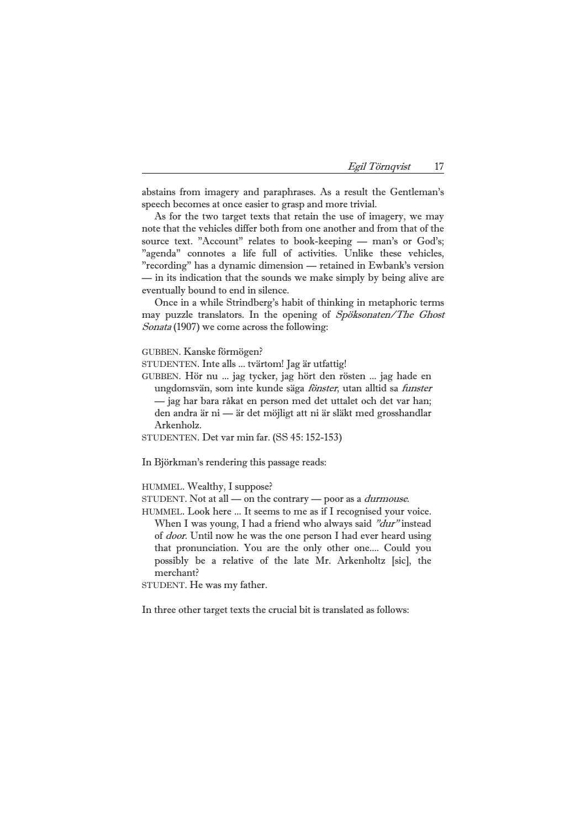| Egil Törnqvist |  |
|----------------|--|
|                |  |

abstains from imagery and paraphrases. As a result the Gentleman's speech becomes at once easier to grasp and more trivial.

 As for the two target texts that retain the use of imagery, we may note that the vehicles differ both from one another and from that of the source text. "Account" relates to book-keeping - man's or God's; "agenda" connotes a life full of activities. Unlike these vehicles, "recording" has a dynamic dimension — retained in Ewbank's version — in its indication that the sounds we make simply by being alive are eventually bound to end in silence.

 Once in a while Strindberg's habit of thinking in metaphoric terms may puzzle translators. In the opening of Spöksonaten/The Ghost Sonata (1907) we come across the following:

GUBBEN. Kanske förmögen?

- STUDENTEN. Inte alls ... tvärtom! Jag är utfattig!
- GUBBEN. Hör nu ... jag tycker, jag hört den rösten ... jag hade en ungdomsvän, som inte kunde säga fönster, utan alltid sa funster — jag har bara råkat en person med det uttalet och det var han; den andra är ni — är det möjligt att ni är släkt med grosshandlar Arkenholz.
- STUDENTEN. Det var min far. (SS 45: 152-153)

In Björkman's rendering this passage reads:

HUMMEL. Wealthy, I suppose?

- STUDENT. Not at all on the contrary poor as a durmouse.
- HUMMEL. Look here ... It seems to me as if I recognised your voice. When I was young, I had a friend who always said "dur" instead of door. Until now he was the one person I had ever heard using that pronunciation. You are the only other one.... Could you possibly be a relative of the late Mr. Arkenholtz [sic], the merchant?

STUDENT. He was my father.

In three other target texts the crucial bit is translated as follows: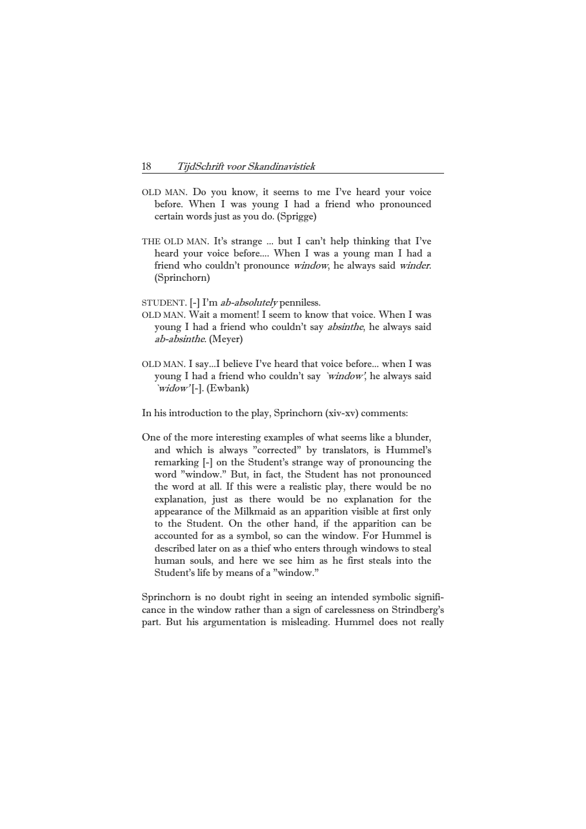- OLD MAN. Do you know, it seems to me I've heard your voice before. When I was young I had a friend who pronounced certain words just as you do. (Sprigge)
- THE OLD MAN. It's strange ... but I can't help thinking that I've heard your voice before.... When I was a young man I had a friend who couldn't pronounce window, he always said winder. (Sprinchorn)
- STUDENT. [-] I'm ab-absolutely penniless.
- OLD MAN. Wait a moment! I seem to know that voice. When I was young I had a friend who couldn't say absinthe, he always said ab-absinthe. (Meyer)
- OLD MAN. I say...I believe I've heard that voice before... when I was young I had a friend who couldn't say 'window', he always said  $\iota$ *widow'* [-]. (Ewbank)
- In his introduction to the play, Sprinchorn (xiv-xv) comments:
- One of the more interesting examples of what seems like a blunder, and which is always "corrected" by translators, is Hummel's remarking [-] on the Student's strange way of pronouncing the word "window." But, in fact, the Student has not pronounced the word at all. If this were a realistic play, there would be no explanation, just as there would be no explanation for the appearance of the Milkmaid as an apparition visible at first only to the Student. On the other hand, if the apparition can be accounted for as a symbol, so can the window. For Hummel is described later on as a thief who enters through windows to steal human souls, and here we see him as he first steals into the Student's life by means of a "window."

Sprinchorn is no doubt right in seeing an intended symbolic significance in the window rather than a sign of carelessness on Strindberg's part. But his argumentation is misleading. Hummel does not really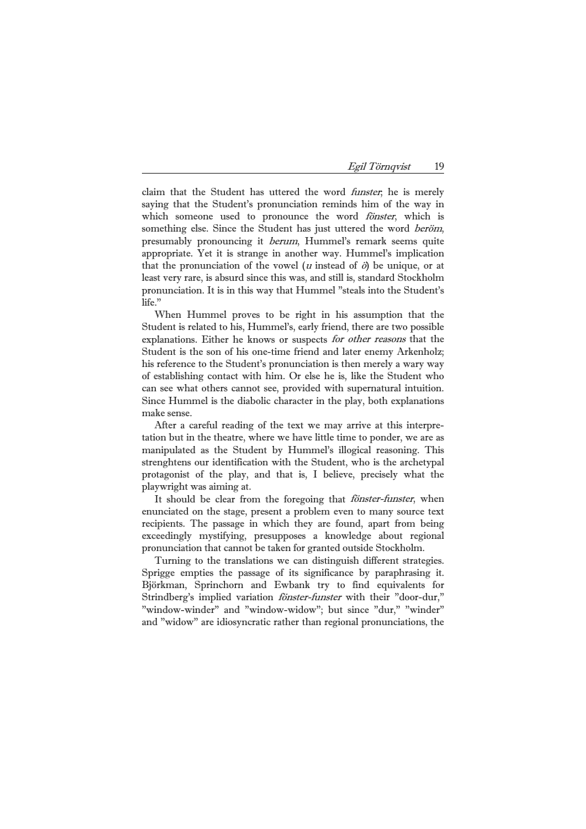| Egil Törnqvist | 19 |
|----------------|----|
|                |    |

claim that the Student has uttered the word funster; he is merely saying that the Student's pronunciation reminds him of the way in which someone used to pronounce the word *fönster*, which is something else. Since the Student has just uttered the word beröm, presumably pronouncing it berum, Hummel's remark seems quite appropriate. Yet it is strange in another way. Hummel's implication that the pronunciation of the vowel (*u* instead of  $\ddot{\phi}$ ) be unique, or at least very rare, is absurd since this was, and still is, standard Stockholm pronunciation. It is in this way that Hummel "steals into the Student's life."

 When Hummel proves to be right in his assumption that the Student is related to his, Hummel's, early friend, there are two possible explanations. Either he knows or suspects for other reasons that the Student is the son of his one-time friend and later enemy Arkenholz; his reference to the Student's pronunciation is then merely a wary way of establishing contact with him. Or else he is, like the Student who can see what others cannot see, provided with supernatural intuition. Since Hummel is the diabolic character in the play, both explanations make sense.

 After a careful reading of the text we may arrive at this interpretation but in the theatre, where we have little time to ponder, we are as manipulated as the Student by Hummel's illogical reasoning. This strenghtens our identification with the Student, who is the archetypal protagonist of the play, and that is, I believe, precisely what the playwright was aiming at.

It should be clear from the foregoing that *fönster-funster*, when enunciated on the stage, present a problem even to many source text recipients. The passage in which they are found, apart from being exceedingly mystifying, presupposes a knowledge about regional pronunciation that cannot be taken for granted outside Stockholm.

 Turning to the translations we can distinguish different strategies. Sprigge empties the passage of its significance by paraphrasing it. Björkman, Sprinchorn and Ewbank try to find equivalents for Strindberg's implied variation fönster-funster with their "door-dur," "window-winder" and "window-widow"; but since "dur," "winder" and "widow" are idiosyncratic rather than regional pronunciations, the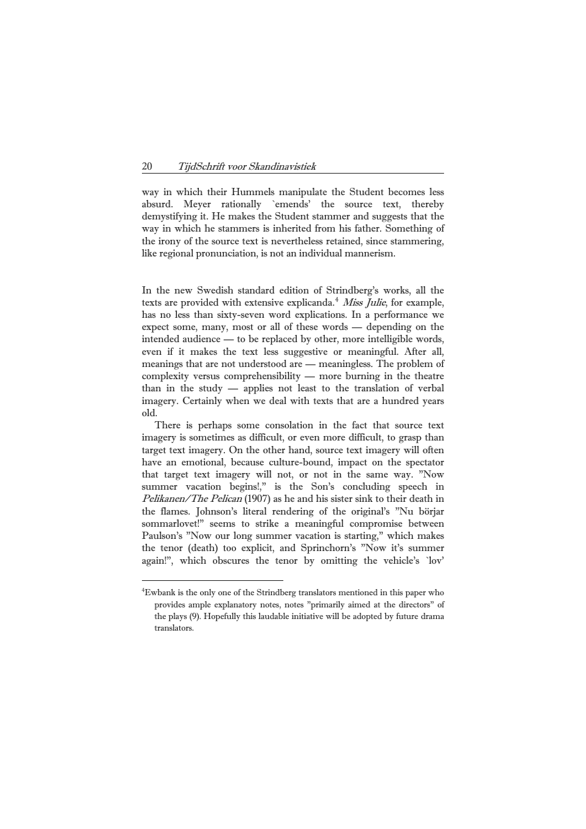way in which their Hummels manipulate the Student becomes less absurd. Meyer rationally `emends' the source text, thereby demystifying it. He makes the Student stammer and suggests that the way in which he stammers is inherited from his father. Something of the irony of the source text is nevertheless retained, since stammering, like regional pronunciation, is not an individual mannerism.

In the new Swedish standard edition of Strindberg's works, all the texts are provided with extensive explicanda.<sup>[4](#page-13-0)</sup> Miss Julie, for example, has no less than sixty-seven word explications. In a performance we expect some, many, most or all of these words — depending on the intended audience — to be replaced by other, more intelligible words, even if it makes the text less suggestive or meaningful. After all, meanings that are not understood are — meaningless. The problem of complexity versus comprehensibility — more burning in the theatre than in the study — applies not least to the translation of verbal imagery. Certainly when we deal with texts that are a hundred years old.

 There is perhaps some consolation in the fact that source text imagery is sometimes as difficult, or even more difficult, to grasp than target text imagery. On the other hand, source text imagery will often have an emotional, because culture-bound, impact on the spectator that target text imagery will not, or not in the same way. "Now summer vacation begins!," is the Son's concluding speech in Pelikanen/The Pelican (1907) as he and his sister sink to their death in the flames. Johnson's literal rendering of the original's "Nu börjar sommarlovet!" seems to strike a meaningful compromise between Paulson's "Now our long summer vacation is starting," which makes the tenor (death) too explicit, and Sprinchorn's "Now it's summer again!", which obscures the tenor by omitting the vehicle's `lov'

<span id="page-13-0"></span><sup>4</sup> Ewbank is the only one of the Strindberg translators mentioned in this paper who provides ample explanatory notes, notes "primarily aimed at the directors" of the plays (9). Hopefully this laudable initiative will be adopted by future drama translators.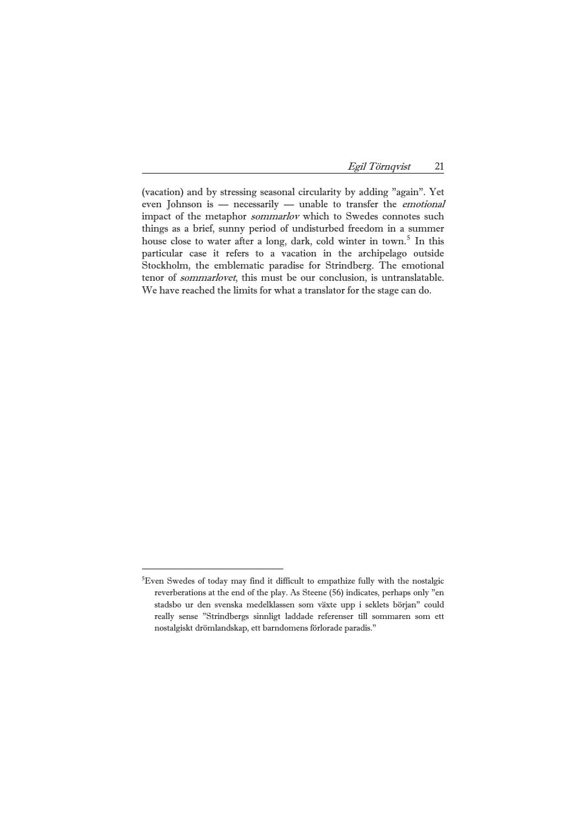Egil Törnqvist 21

(vacation) and by stressing seasonal circularity by adding "again". Yet even Johnson is — necessarily — unable to transfer the emotional impact of the metaphor sommarlov which to Swedes connotes such things as a brief, sunny period of undisturbed freedom in a summer house close to water after a long, dark, cold winter in town.<sup>[5](#page-14-0)</sup> In this particular case it refers to a vacation in the archipelago outside Stockholm, the emblematic paradise for Strindberg. The emotional tenor of sommarlovet, this must be our conclusion, is untranslatable. We have reached the limits for what a translator for the stage can do.

<span id="page-14-0"></span><sup>&</sup>lt;sup>5</sup>Even Swedes of today may find it difficult to empathize fully with the nostalgic reverberations at the end of the play. As Steene (56) indicates, perhaps only "en stadsbo ur den svenska medelklassen som växte upp i seklets början" could really sense "Strindbergs sinnligt laddade referenser till sommaren som ett nostalgiskt drömlandskap, ett barndomens förlorade paradis."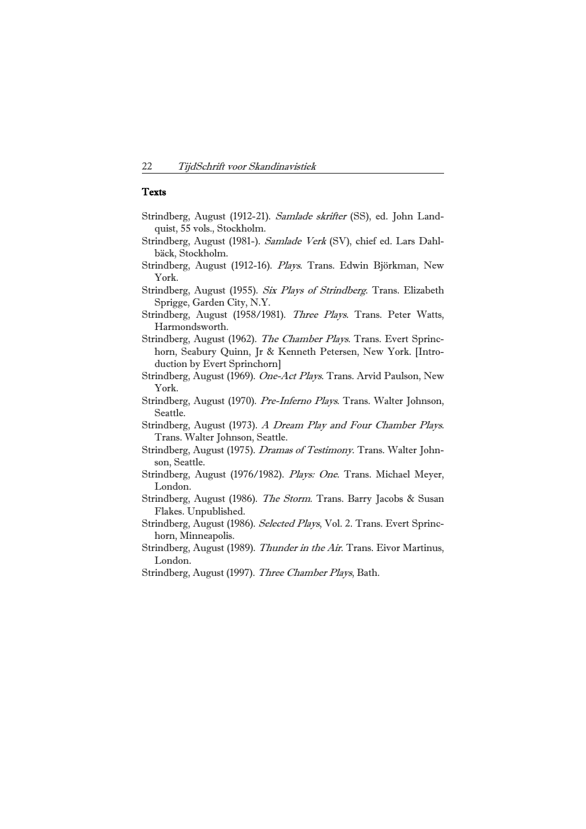## **Texts**

- Strindberg, August (1912-21). Samlade skrifter (SS), ed. John Landquist, 55 vols., Stockholm.
- Strindberg, August (1981-). Samlade Verk (SV), chief ed. Lars Dahlbäck, Stockholm.
- Strindberg, August (1912-16). Plays. Trans. Edwin Björkman, New York.
- Strindberg, August (1955). Six Plays of Strindberg. Trans. Elizabeth Sprigge, Garden City, N.Y.
- Strindberg, August (1958/1981). Three Plays. Trans. Peter Watts, Harmondsworth.
- Strindberg, August (1962). The Chamber Plays. Trans. Evert Sprinchorn, Seabury Quinn, Jr & Kenneth Petersen, New York. [Introduction by Evert Sprinchorn]
- Strindberg, August (1969). One-Act Plays. Trans. Arvid Paulson, New York.
- Strindberg, August (1970). Pre-Inferno Plays. Trans. Walter Johnson, Seattle.
- Strindberg, August (1973). A Dream Play and Four Chamber Plays. Trans. Walter Johnson, Seattle.
- Strindberg, August (1975). *Dramas of Testimony*. Trans. Walter Johnson, Seattle.
- Strindberg, August (1976/1982). Plays: One. Trans. Michael Meyer, London.
- Strindberg, August (1986). The Storm. Trans. Barry Jacobs & Susan Flakes. Unpublished.
- Strindberg, August (1986). Selected Plays, Vol. 2. Trans. Evert Sprinchorn, Minneapolis.
- Strindberg, August (1989). Thunder in the Air. Trans. Eivor Martinus, London.
- Strindberg, August (1997). Three Chamber Plays, Bath.